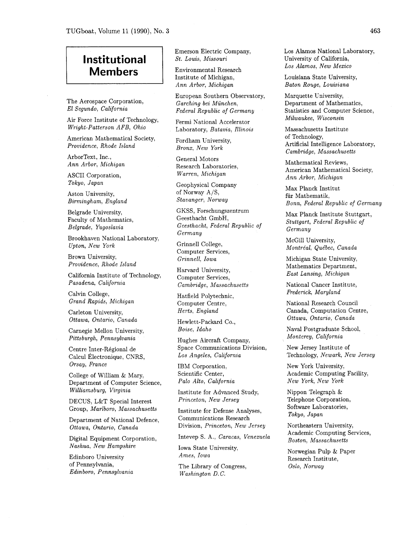## **Institutional Members**

The Aerospace Corporation, El Segundo, California

Air Force Institute of Technology, Wright-Patterson AFB, Ohio

American Mathematical Society, Providence, Rhode Island

ArborText, Inc., Ann Arbor, Michigan

ASCII Corporation, Tokyo, Japan

Aston University, Birmingham, England

Belgrade University, Faculty of Mathematics, Belgrade, Yugoslavia

Brookhaven National Laboratory, Upton, New York

Brown University, Providence, Rhode Island

California Institute of Technology, Pasadena, California

Calvin College, Grand Rapids, Michigan

Carleton University, Ottawa, Ontario, Canada

Carnegie Mellon University, Pittsburgh, Pennsylvania

Centre Inter-Régional de Calcul Électronique, CNRS, Orsay, France

College of William & Mary, Department of Computer Science, Williamsburg, Virginia

DECUS, L&T Special Interest Group, Marlboro, Massachusetts

Department of National Defence, Ottawa, Ontario, Canada

Digital Equipment Corporation, Nashua, New Hampshire

Edinboro University of Pennsylvania, Edinboro, Pennsylvania Emerson Electric Company, St. Louis, Missouri

Environmental Research Institute of Michigan, Ann Arbor, Michigan

European Southern Observatory, Garching bei München. Federal Republic of Germany

Fermi National Accelerator Laboratory, Batavia, Illinois

Fordham University, Bronx, New York

General Motors Research Laboratories, Warren, Michigan

Geophysical Company of Norway A/S, Stavanger, Norway

GKSS, Forschungszentrum Geesthacht GmbH, Geesthacht, Federal Republic of Germany

Grinnell College, Computer Services, Grinnell, Iowa

Harvard University, Computer Services, Cambridge, Massachusetts

Hatfield Polytechnic, Computer Centre, Herts, England

Hewlett-Packard Co., Boise, Idaho

Hughes Aircraft Company, Space Communications Division, Los Angeles, California

IBM Corporation, Scientific Center, Palo Alto, California

Institute for Advanced Study, Princeton, New Jersey

Institute for Defense Analyses, Communications Research Division, Princeton, New Jersey

Intevep S. A., Caracas, Venezuela

Iowa State University, Ames, Iowa

The Library of Congress, Washington D.C.

Los Alamos National Laboratory, University of California, Los Alamos, New Mexico

Louisiana State University, Baton Rouge, Louisiana

Marquette University, Department of Mathematics, Statistics and Computer Science, Milwaukee, Wisconsin

Massachusetts Institute of Technology, Artificial Intelligence Laboratory, Cambridge, Massachusetts

Mathematical Reviews, American Mathematical Society, Ann Arbor, Michigan

Max Planck Institut fiir Mathematik, Bonn, Federal Republic of Germany

Max Planck Institute Stuttgart, Stuttgart, Federal Republic of Germany

McGill University, Montréal, Québec, Canada

Michigan State University, Mathematics Department, East Lansing, Michigan

National Cancer Institute, Frederick, Maryland

National Research Council Canada, Computation Centre, Ottawa, Ontario, Canada

Naval Postgraduate School, Monterey, California

New Jersey Institute of Technology, Newark, New Jersey

New York University, Academic Computing Facility, New York, New York

Nippon Telegraph & Telephone Corporation, Software Laboratories, Tokyo, Japan

Northeastern University, Academic Computing Services, Boston, Massachusetts

Norwegian Pulp & Paper Research Institute, Oslo, Norway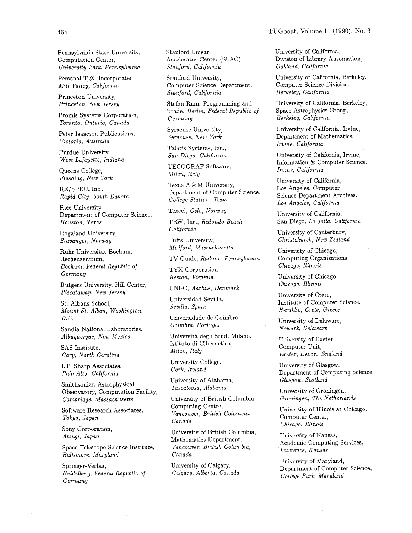Pennsylvania State University, Computation Center, University Park, Pennsylvania

Personal TEX, Incorporated, Mill Valley, California

Princeton University, Princeton, New Jersey

Promis Systems Corporation, Toronto, Ontario, Canada

Peter Isaacson Publications, Victoria, Australia

Purdue University, West Lafayette, Indiana

Queens College, Flushing, New York

RE/SPEC, Inc., Rapid City, South Dakota

Rice University, Department of Computer Science, Houston, Texas

Rogaland University, Stavanger, Norway

Ruhr Universitat Bochum, Rechenzentrum, Bochum, Federal Republic of Germany

Rutgers University, Hill Center, Piscataway, New Jersey

St. Albans School, Mount St. Alban, Washington, D. C.

Sandia National Laboratories, Albuquerque, New Mexico

SAS Institute, Cary, North Carolina

I. P. Sharp Associates, Palo Alto, California

Smithsonian Astrophysical Observatory, Computation Facility, Cambridge, Massachusetts

Software Research Associates, Tokyo, Japan

Sony Corporation, Atsugi, Japan

Space Telescope Science Institute, Baltimore, Maryland

Springer-Verlag, Heidelberg, Federal Republic of Germany

Stanford Linear Accelerator Center (SLAC), Stanford, California

Stanford University, Computer Science Department, Stanford, California

Stefan Ram, Programming and Trade, Berlin, Federal Republic of Germany

Syracuse University, Syracuse, New York

Talaris Systems, Inc., San Diego, California

TECOGRAF Software, Milan, Italy

Texas A & M University, Department of Computer Science, College Station, Texas

Texcel, Oslo, Norway

TRW, Inc., Redondo Beach, California

Tufts University, Medford, Massachusetts

TV Guide, Radnor, Pennsylvania

TYX Corporation, Reston, Virginia

UNI-C, Aarhus, Denmark

Universidad Sevilla, Sevilla, Spain

Universidade de Coimbra, Coimbra, Portugal

Università degli Studi Milano, Istituto di Cibernetica, Milan, Italy

University College, Cork, Ireland

University of Alabama, Tuscaloosa, Alabama

University of British Columbia, Computing Centre, Vancouver, British Columbia, Canada

University of British Columbia, Mathematics Department, Vancouver, British Columbia, Canada

University of Calgary, Calgary, Alberta, Canada University of California, Division of Library Automation, Oakland, California

University of California, Berkeley, Computer Science Division, Berkeley, California

University of California, Berkeley, Space Astrophysics Group, Berkeley, California

University of California, Irvine, Department of Mathematics, Irvine, California

University of California, Irvine, Information & Computer Science, Irvine, California

University of California, Los Angeles, Computer Science Department Archives, Los Angeles, California

University of California, San Diego, La Jolla, California

University of Canterbury, Christchurch, New Zealand

University of Chicago, Computing Organizations, Chicago, Illinois

University of Chicago, Chicago, Illinois

University of Crete, Institute of Computer Science, Heraklio, Crete, Greece

University of Delaware, Newark, Delaware

University of Exeter, Computer Unit, Exeter, Devon, England

University of Glasgow, Department of Computing Science, Glasgow, Scotland

University of Groningen, Groningen, The Netherlands

University of Illinois at Chicago, Computer Center, Chicago, Illinois

University of Kansas, Academic Computing Services, Lawrence, Kansas

University of Maryland, Department of Computer Science, College Park, Maryland